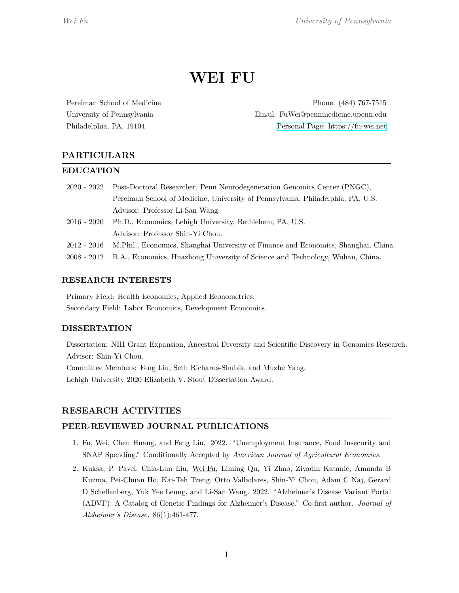# **WEI FU**

Perelman School of Medicine Phone: (484) 767-7515 University of Pennsylvania Email: FuWei@pennmedicine.upenn.edu Philadelphia, PA, 19104 [Personal Page: https://fu-wei.net](http://fu-wei.net)

# **PARTICULARS**

# **EDUCATION**

- 2020 2022 Post-Doctoral Researcher, Penn Neurodegeneration Genomics Center (PNGC), Perelman School of Medicine, University of Pennsylvania, Philadelphia, PA, U.S. Advisor: Professor Li-San Wang.
- 2016 2020 Ph.D., Economics, Lehigh University, Bethlehem, PA, U.S. Advisor: Professor Shin-Yi Chou.
- 2012 2016 M.Phil., Economics, Shanghai University of Finance and Economics, Shanghai, China.
- 2008 2012 B.A., Economics, Huazhong University of Science and Technology, Wuhan, China.

# **RESEARCH INTERESTS**

Primary Field: Health Economics, Applied Econometrics. Secondary Field: Labor Economics, Development Economics.

# **DISSERTATION**

Dissertation: NIH Grant Expansion, Ancestral Diversity and Scientific Discovery in Genomics Research. Advisor: Shin-Yi Chou.

Committee Members: Feng Liu, Seth Richards-Shubik, and Muzhe Yang. Lehigh University 2020 Elizabeth V. Stout Dissertation Award.

# **RESEARCH ACTIVITIES**

# **PEER-REVIEWED JOURNAL PUBLICATIONS**

- 1. Fu, Wei, Chen Huang, and Feng Liu. 2022. "Unemployment Insurance, Food Insecurity and SNAP Spending." Conditionally Accepted by *American Journal of Agricultural Economics.*
- 2. Kuksa, P. Pavel, Chia-Lun Liu, Wei Fu, Liming Qu, Yi Zhao, Zivadin Katanic, Amanda B Kuzma, Pei-Chuan Ho, Kai-Teh Tzeng, Otto Valladares, Shin-Yi Chou, Adam C Naj, Gerard D Schellenberg, Yuk Yee Leung, and Li-San Wang. 2022. "Alzheimer's Disease Variant Portal (ADVP): A Catalog of Genetic Findings for Alzheimer's Disease." Co-first author. *Journal of Alzheimer's Disease.* 86(1):461-477.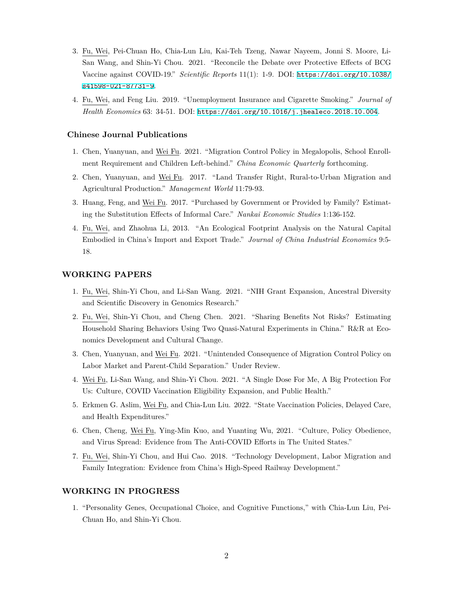- 3. Fu, Wei, Pei-Chuan Ho, Chia-Lun Liu, Kai-Teh Tzeng, Nawar Nayeem, Jonni S. Moore, Li-San Wang, and Shin-Yi Chou. 2021. "Reconcile the Debate over Protective Effects of BCG Vaccine against COVID-19." *Scientific Reports* 11(1): 1-9. DOI: [https://doi.org/10.1038/](https://doi.org/10.1038/s41598-021-87731-9) [s41598-021-87731-9](https://doi.org/10.1038/s41598-021-87731-9).
- 4. Fu, Wei, and Feng Liu. 2019. "Unemployment Insurance and Cigarette Smoking." *Journal of Health Economics* 63: 34-51. DOI: <https://doi.org/10.1016/j.jhealeco.2018.10.004>.

#### **Chinese Journal Publications**

- 1. Chen, Yuanyuan, and Wei Fu. 2021. "Migration Control Policy in Megalopolis, School Enrollment Requirement and Children Left-behind." *China Economic Quarterly* forthcoming.
- 2. Chen, Yuanyuan, and Wei Fu. 2017. "Land Transfer Right, Rural-to-Urban Migration and Agricultural Production." *Management World* 11:79-93.
- 3. Huang, Feng, and Wei Fu. 2017. "Purchased by Government or Provided by Family? Estimating the Substitution Effects of Informal Care." *Nankai Economic Studies* 1:136-152.
- 4. Fu, Wei, and Zhaohua Li, 2013. "An Ecological Footprint Analysis on the Natural Capital Embodied in China's Import and Export Trade." *Journal of China Industrial Economics* 9:5- 18.

#### **WORKING PAPERS**

- 1. Fu, Wei, Shin-Yi Chou, and Li-San Wang. 2021. "NIH Grant Expansion, Ancestral Diversity and Scientific Discovery in Genomics Research."
- 2. Fu, Wei, Shin-Yi Chou, and Cheng Chen. 2021. "Sharing Benefits Not Risks? Estimating Household Sharing Behaviors Using Two Quasi-Natural Experiments in China." R&R at Economics Development and Cultural Change.
- 3. Chen, Yuanyuan, and Wei Fu. 2021. "Unintended Consequence of Migration Control Policy on Labor Market and Parent-Child Separation." Under Review.
- 4. Wei Fu, Li-San Wang, and Shin-Yi Chou. 2021. "A Single Dose For Me, A Big Protection For Us: Culture, COVID Vaccination Eligibility Expansion, and Public Health."
- 5. Erkmen G. Aslim, Wei Fu, and Chia-Lun Liu. 2022. "State Vaccination Policies, Delayed Care, and Health Expenditures."
- 6. Chen, Cheng, Wei Fu, Ying-Min Kuo, and Yuanting Wu, 2021. "Culture, Policy Obedience, and Virus Spread: Evidence from The Anti-COVID Efforts in The United States."
- 7. Fu, Wei, Shin-Yi Chou, and Hui Cao. 2018. "Technology Development, Labor Migration and Family Integration: Evidence from China's High-Speed Railway Development."

#### **WORKING IN PROGRESS**

1. "Personality Genes, Occupational Choice, and Cognitive Functions," with Chia-Lun Liu, Pei-Chuan Ho, and Shin-Yi Chou.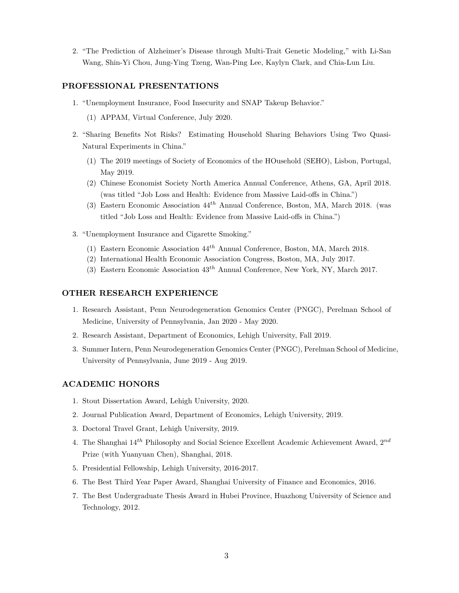2. "The Prediction of Alzheimer's Disease through Multi-Trait Genetic Modeling," with Li-San Wang, Shin-Yi Chou, Jung-Ying Tzeng, Wan-Ping Lee, Kaylyn Clark, and Chia-Lun Liu.

## **PROFESSIONAL PRESENTATIONS**

- 1. "Unemployment Insurance, Food Insecurity and SNAP Takeup Behavior."
	- (1) APPAM, Virtual Conference, July 2020.
- 2. "Sharing Benefits Not Risks? Estimating Household Sharing Behaviors Using Two Quasi-Natural Experiments in China."
	- (1) The 2019 meetings of Society of Economics of the HOusehold (SEHO), Lisbon, Portugal, May 2019.
	- (2) Chinese Economist Society North America Annual Conference, Athens, GA, April 2018. (was titled "Job Loss and Health: Evidence from Massive Laid-offs in China.")
	- (3) Eastern Economic Association 44*th* Annual Conference, Boston, MA, March 2018. (was titled "Job Loss and Health: Evidence from Massive Laid-offs in China.")
- 3. "Unemployment Insurance and Cigarette Smoking."
	- (1) Eastern Economic Association 44*th* Annual Conference, Boston, MA, March 2018.
	- (2) International Health Economic Association Congress, Boston, MA, July 2017.
	- (3) Eastern Economic Association 43*th* Annual Conference, New York, NY, March 2017.

#### **OTHER RESEARCH EXPERIENCE**

- 1. Research Assistant, Penn Neurodegeneration Genomics Center (PNGC), Perelman School of Medicine, University of Pennsylvania, Jan 2020 - May 2020.
- 2. Research Assistant, Department of Economics, Lehigh University, Fall 2019.
- 3. Summer Intern, Penn Neurodegeneration Genomics Center (PNGC), Perelman School of Medicine, University of Pennsylvania, June 2019 - Aug 2019.

### **ACADEMIC HONORS**

- 1. Stout Dissertation Award, Lehigh University, 2020.
- 2. Journal Publication Award, Department of Economics, Lehigh University, 2019.
- 3. Doctoral Travel Grant, Lehigh University, 2019.
- 4. The Shanghai 14*th* Philosophy and Social Science Excellent Academic Achievement Award, 2 *nd* Prize (with Yuanyuan Chen), Shanghai, 2018.
- 5. Presidential Fellowship, Lehigh University, 2016-2017.
- 6. The Best Third Year Paper Award, Shanghai University of Finance and Economics, 2016.
- 7. The Best Undergraduate Thesis Award in Hubei Province, Huazhong University of Science and Technology, 2012.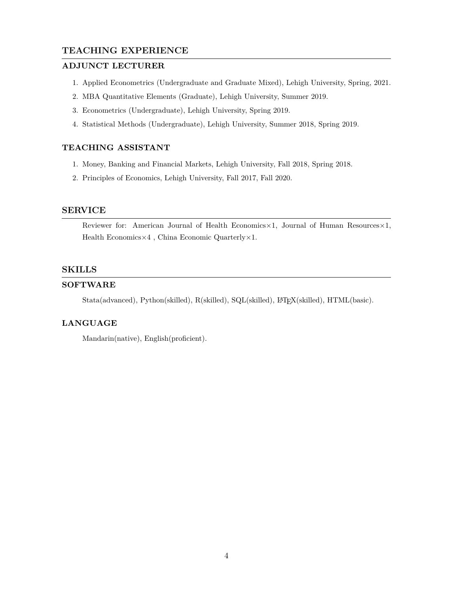# **TEACHING EXPERIENCE**

## **ADJUNCT LECTURER**

- 1. Applied Econometrics (Undergraduate and Graduate Mixed), Lehigh University, Spring, 2021.
- 2. MBA Quantitative Elements (Graduate), Lehigh University, Summer 2019.
- 3. Econometrics (Undergraduate), Lehigh University, Spring 2019.
- 4. Statistical Methods (Undergraduate), Lehigh University, Summer 2018, Spring 2019.

# **TEACHING ASSISTANT**

- 1. Money, Banking and Financial Markets, Lehigh University, Fall 2018, Spring 2018.
- 2. Principles of Economics, Lehigh University, Fall 2017, Fall 2020.

# **SERVICE**

Reviewer for: American Journal of Health Economics*×*1, Journal of Human Resources*×*1, Health Economics*×*4 , China Economic Quarterly*×*1.

## **SKILLS**

## **SOFTWARE**

Stata(advanced), Python(skilled), R(skilled), SQL(skilled), LATEX(skilled), HTML(basic).

# **LANGUAGE**

Mandarin(native), English(proficient).